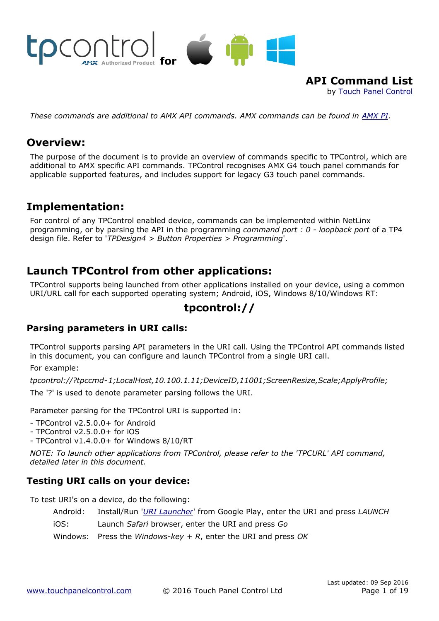

**API Command List** by [Touch Panel Control](http://www.touchpanelcontrol.com/)

*These commands are additional to AMX API commands. AMX commands can be found in [AMX PI.](http://www.amx.com/assets/AMX-PI2/AMX-PI2.htm)*

# **Overview:**

The purpose of the document is to provide an overview of commands specific to TPControl, which are additional to AMX specific API commands. TPControl recognises AMX G4 touch panel commands for applicable supported features, and includes support for legacy G3 touch panel commands.

# **Implementation:**

For control of any TPControl enabled device, commands can be implemented within NetLinx programming, or by parsing the API in the programming *command port : 0 - loopback port* of a TP4 design file. Refer to '*TPDesign4 > Button Properties > Programming*'.

# **Launch TPControl from other applications:**

TPControl supports being launched from other applications installed on your device, using a common URI/URL call for each supported operating system; Android, iOS, Windows 8/10/Windows RT:

# **tpcontrol://**

## **Parsing parameters in URI calls:**

TPControl supports parsing API parameters in the URI call. Using the TPControl API commands listed in this document, you can configure and launch TPControl from a single URI call.

For example:

*tpcontrol://?tpccmd-1;LocalHost,10.100.1.11;DeviceID,11001;ScreenResize,Scale;ApplyProfile;*

The '?' is used to denote parameter parsing follows the URI.

Parameter parsing for the TPControl URI is supported in:

- TPControl v2.5.0.0+ for Android

- TPControl v2.5.0.0+ for iOS

- TPControl v1.4.0.0+ for Windows 8/10/RT

*NOTE: To launch other applications from TPControl, please refer to the 'TPCURL' API command, detailed later in this document.*

## **Testing URI calls on your device:**

To test URI's on a device, do the following:

Android: Install/Run '*[URI Launcher](https://play.google.com/store/apps/details?id=com.ronaldstevanus.urilauncher)*' from Google Play, enter the URI and press *LAUNCH*

iOS: Launch *Safari* browser, enter the URI and press *Go*

Windows: Press the *Windows-key + R*, enter the URI and press *OK*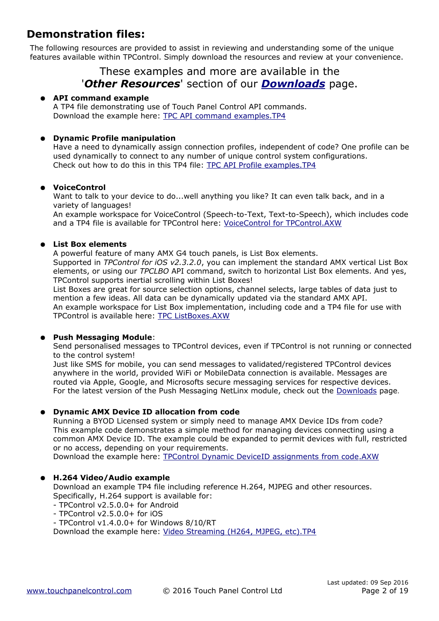# **Demonstration files:**

The following resources are provided to assist in reviewing and understanding some of the unique features available within TPControl. Simply download the resources and review at your convenience.

## These examples and more are available in the '*Other Resources*' section of our *[Downloads](http://www.touchpanelcontrol.com/catalog/product/download)* page.

#### ● **API command example**

A TP4 file demonstrating use of Touch Panel Control API commands. Download the example here: [TPC API command examples.TP4](http://www.touchpanelcontrol.com/files/other_resources/TPC%20API%20command%20examples.TP4)

#### ● **Dynamic Profile manipulation**

Have a need to dynamically assign connection profiles, independent of code? One profile can be used dynamically to connect to any number of unique control system configurations. Check out how to do this in this TP4 file: [TPC API Profile examples.TP4](http://www.touchpanelcontrol.com/files/other_resources/TPC%20API%20Profile%20examples.TP4)

#### ● **VoiceControl**

Want to talk to your device to do...well anything you like? It can even talk back, and in a variety of languages!

An example workspace for VoiceControl (Speech-to-Text, Text-to-Speech), which includes code and a TP4 file is available for TPControl here: [VoiceControl for TPControl.AXW](http://www.touchpanelcontrol.com/guest/tpcontrol/ExampleCode/VoiceControl%20for%20TPControl.AXW)

#### ● **List Box elements**

A powerful feature of many AMX G4 touch panels, is List Box elements. Supported in *TPControl for iOS v2.3.2.0*, you can implement the standard AMX vertical List Box elements, or using our *TPCLBO* API command, switch to horizontal List Box elements. And yes,

TPControl supports inertial scrolling within List Boxes!

List Boxes are great for source selection options, channel selects, large tables of data just to mention a few ideas. All data can be dynamically updated via the standard AMX API. An example workspace for List Box implementation, including code and a TP4 file for use with TPControl is available here: [TPC ListBoxes.AXW](http://www.touchpanelcontrol.com/guest/tpcontrol/ExampleCode/TPC%20ListBoxes.AXW)

#### ● **Push Messaging Module**:

Send personalised messages to TPControl devices, even if TPControl is not running or connected to the control system!

Just like SMS for mobile, you can send messages to validated/registered TPControl devices anywhere in the world, provided WiFi or MobileData connection is available. Messages are routed via Apple, Google, and Microsofts secure messaging services for respective devices. For the latest version of the Push Messaging NetLinx module, check out the [Downloads](http://www.touchpanelcontrol.com/catalog/product/download) page.

#### **Dynamic AMX Device ID allocation from code**

Running a BYOD Licensed system or simply need to manage AMX Device IDs from code? This example code demonstrates a simple method for managing devices connecting using a common AMX Device ID. The example could be expanded to permit devices with full, restricted or no access, depending on your requirements.

Download the example here: [TPC ontrol Dynamic DeviceID assignments from code.AXW](http://www.touchpanelcontrol.com/files/other_resources/TPC-DynamicDeviceID.AXW)

#### ● **H.264 Video/Audio example**

Download an example TP4 file including reference H.264, MJPEG and other resources. Specifically, H.264 support is available for:

- TPControl v2.5.0.0+ for Android
- TPControl v2.5.0.0+ for iOS
- TPControl v1.4.0.0+ for Windows 8/10/RT

Download the example here: [Video Streaming \(H264, MJPEG, etc\).TP4](http://www.touchpanelcontrol.com/files/other_resources/H264_Streaming.TP4)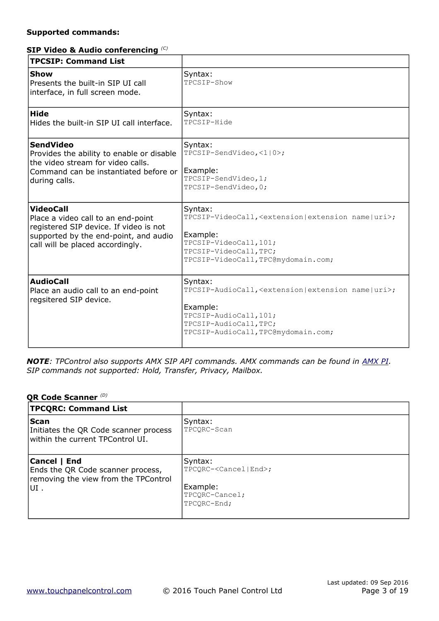#### **Supported commands:**

#### **SIP Video & Audio conferencing** *(C)*

| <b>TPCSIP: Command List</b>                                                                                                                                                   |                                                                                                                                                                                                   |
|-------------------------------------------------------------------------------------------------------------------------------------------------------------------------------|---------------------------------------------------------------------------------------------------------------------------------------------------------------------------------------------------|
| <b>Show</b><br>Presents the built-in SIP UI call<br>interface, in full screen mode.                                                                                           | Syntax:<br>TPCSIP-Show                                                                                                                                                                            |
| <b>Hide</b><br>Hides the built-in SIP UI call interface.                                                                                                                      | Syntax:<br>TPCSIP-Hide                                                                                                                                                                            |
| <b>SendVideo</b><br>Provides the ability to enable or disable<br>the video stream for video calls.<br>Command can be instantiated before or<br>during calls.                  | Syntax:<br>TPCSIP-SendVideo, <1   0>;<br>Example:<br>TPCSIP-SendVideo, 1;<br>TPCSIP-SendVideo, 0;                                                                                                 |
| <b>VideoCall</b><br>Place a video call to an end-point<br>registered SIP device. If video is not<br>supported by the end-point, and audio<br>call will be placed accordingly. | Syntax:<br>TPCSIP-VideoCall, <extension extension="" name="" uri=""  ="">;<br/>Example:<br/>TPCSIP-VideoCall, 101;<br/>TPCSIP-VideoCall, TPC;<br/>TPCSIP-VideoCall, TPC@mydomain.com;</extension> |
| <b>AudioCall</b><br>Place an audio call to an end-point<br>regsitered SIP device.                                                                                             | Syntax:<br>TPCSIP-AudioCall, <extension extension="" name="" uri=""  ="">;<br/>Example:<br/>TPCSIP-AudioCall, 101;<br/>TPCSIP-AudioCall, TPC;<br/>TPCSIP-AudioCall, TPC@mydomain.com;</extension> |

*NOTE: TPControl also supports AMX SIP API commands. AMX commands can be found in [AMX PI.](http://www.amx.com/assets/AMX-PI2/AMX-PI2.htm) SIP commands not supported: Hold, Transfer, Privacy, Mailbox.*

#### **QR Code Scanner** *(D)*

| <b>TPCQRC: Command List</b>                                                               |                                               |
|-------------------------------------------------------------------------------------------|-----------------------------------------------|
| <b>Scan</b><br>Initiates the QR Code scanner process<br>within the current TPControl UI.  | Syntax:<br>TPCORC-Scan                        |
| Cancel   End<br>Ends the QR Code scanner process,<br>removing the view from the TPControl | Syntax:<br>TPCORC- <cancel end>;</cancel end> |
| lUI.                                                                                      | Example:<br>TPCQRC-Cancel;<br>TPCORC-End;     |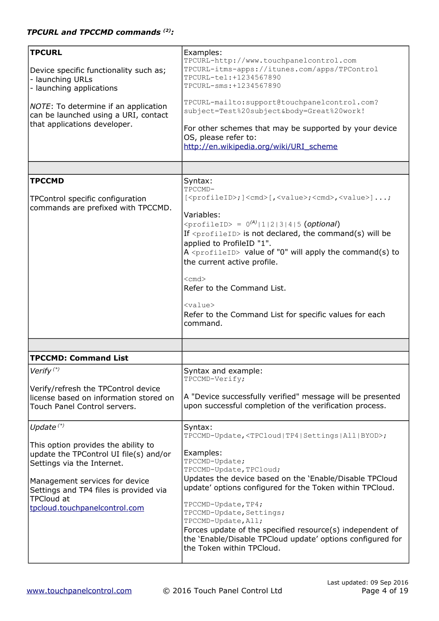| <b>TPCURL</b><br>Device specific functionality such as;<br>- launching URLs<br>- launching applications<br>NOTE: To determine if an application<br>can be launched using a URI, contact<br>that applications developer.                                       | Examples:<br>TPCURL-http://www.touchpanelcontrol.com<br>TPCURL-itms-apps://itunes.com/apps/TPControl<br>TPCURL-tel: +1234567890<br>TPCURL-sms: +1234567890<br>TPCURL-mailto:support@touchpanelcontrol.com?<br>subject=Test%20subject&body=Great%20work!<br>For other schemes that may be supported by your device<br>OS, please refer to:                                                                                                                                                                                                                                                                                                |
|---------------------------------------------------------------------------------------------------------------------------------------------------------------------------------------------------------------------------------------------------------------|------------------------------------------------------------------------------------------------------------------------------------------------------------------------------------------------------------------------------------------------------------------------------------------------------------------------------------------------------------------------------------------------------------------------------------------------------------------------------------------------------------------------------------------------------------------------------------------------------------------------------------------|
|                                                                                                                                                                                                                                                               | http://en.wikipedia.org/wiki/URI scheme                                                                                                                                                                                                                                                                                                                                                                                                                                                                                                                                                                                                  |
|                                                                                                                                                                                                                                                               |                                                                                                                                                                                                                                                                                                                                                                                                                                                                                                                                                                                                                                          |
| <b>TPCCMD</b><br>TPControl specific configuration<br>commands are prefixed with TPCCMD.                                                                                                                                                                       | Syntax:<br>TPCCMD-<br>[ <profileid>; ]<cmd>[,<value>;<cmd>,<value>];<br/>Variables:<br/><math>\langle \text{profileID} \rangle = 0^{(A)}  1   2   3   4  5</math> (optional)<br/>If <math>\langle</math>profileID&gt; is not declared, the command(s) will be<br/>applied to ProfileID "1".<br/>A <profileid> value of "0" will apply the command(s) to<br/>the current active profile.<br/><math>&lt;</math>cmd<math>&gt;</math><br/>Refer to the Command List.<br/><math>&lt;</math>value<math>&gt;</math><br/>Refer to the Command List for specific values for each<br/>command.</profileid></value></cmd></value></cmd></profileid> |
|                                                                                                                                                                                                                                                               |                                                                                                                                                                                                                                                                                                                                                                                                                                                                                                                                                                                                                                          |
| <b>TPCCMD: Command List</b>                                                                                                                                                                                                                                   |                                                                                                                                                                                                                                                                                                                                                                                                                                                                                                                                                                                                                                          |
| Verify $(*)$<br>Verify/refresh the TPControl device<br>license based on information stored on<br>Touch Panel Control servers.                                                                                                                                 | Syntax and example:<br>TPCCMD-Verify;<br>A "Device successfully verified" message will be presented<br>upon successful completion of the verification process.                                                                                                                                                                                                                                                                                                                                                                                                                                                                           |
| Update $(*)$<br>This option provides the ability to<br>update the TPControl UI file(s) and/or<br>Settings via the Internet.<br>Management services for device<br>Settings and TP4 files is provided via<br><b>TPCloud at</b><br>tpcloud.touchpanelcontrol.com | Syntax:<br>TPCCMD-Update, <tpcloud tp4 settings all byod>;<br/>Examples:<br/>TPCCMD-Update;<br/>TPCCMD-Update, TPCloud;<br/>Updates the device based on the 'Enable/Disable TPCloud<br/>update' options configured for the Token within TPCloud.<br/>TPCCMD-Update, TP4;<br/>TPCCMD-Update, Settings;<br/>TPCCMD-Update, All;<br/>Forces update of the specified resource(s) independent of<br/>the 'Enable/Disable TPCloud update' options configured for<br/>the Token within TPCloud.</tpcloud tp4 settings all byod>                                                                                                                 |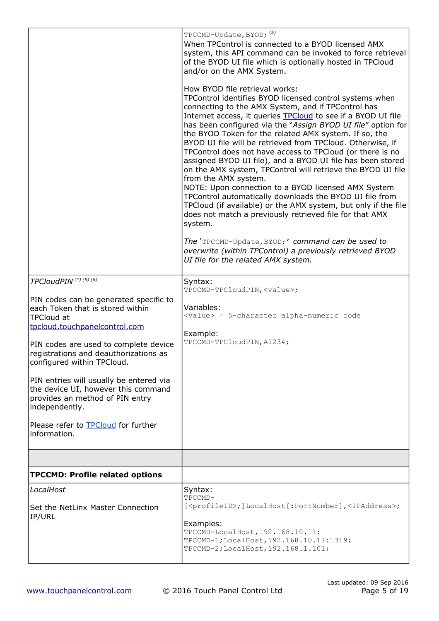|                                                                                                                                                                                                                                                                                                                                                                                                                                                                                   | TPCCMD-Update, BYOD; (E)<br>When TPControl is connected to a BYOD licensed AMX<br>system, this API command can be invoked to force retrieval<br>of the BYOD UI file which is optionally hosted in TPCloud<br>and/or on the AMX System.<br>How BYOD file retrieval works:<br>TPControl identifies BYOD licensed control systems when<br>connecting to the AMX System, and if TPControl has<br>Internet access, it queries <b>TPCloud</b> to see if a BYOD UI file<br>has been configured via the "Assign BYOD UI file" option for<br>the BYOD Token for the related AMX system. If so, the<br>BYOD UI file will be retrieved from TPCloud. Otherwise, if<br>TPControl does not have access to TPCloud (or there is no<br>assigned BYOD UI file), and a BYOD UI file has been stored<br>on the AMX system, TPControl will retrieve the BYOD UI file<br>from the AMX system.<br>NOTE: Upon connection to a BYOD licensed AMX System<br>TPControl automatically downloads the BYOD UI file from<br>TPCloud (if available) or the AMX system, but only if the file<br>does not match a previously retrieved file for that AMX<br>system.<br>The 'TPCCMD-Update, BYOD;' command can be used to<br>overwrite (within TPControl) a previously retrieved BYOD<br>UI file for the related AMX system. |
|-----------------------------------------------------------------------------------------------------------------------------------------------------------------------------------------------------------------------------------------------------------------------------------------------------------------------------------------------------------------------------------------------------------------------------------------------------------------------------------|---------------------------------------------------------------------------------------------------------------------------------------------------------------------------------------------------------------------------------------------------------------------------------------------------------------------------------------------------------------------------------------------------------------------------------------------------------------------------------------------------------------------------------------------------------------------------------------------------------------------------------------------------------------------------------------------------------------------------------------------------------------------------------------------------------------------------------------------------------------------------------------------------------------------------------------------------------------------------------------------------------------------------------------------------------------------------------------------------------------------------------------------------------------------------------------------------------------------------------------------------------------------------------------------|
| TPCloudPIN <sup>(*)(5)(6)</sup><br>PIN codes can be generated specific to<br>each Token that is stored within<br><b>TPCloud at</b><br>tpcloud.touchpanelcontrol.com<br>PIN codes are used to complete device<br>registrations and deauthorizations as<br>configured within TPCloud.<br>PIN entries will usually be entered via<br>the device UI, however this command<br>provides an method of PIN entry<br>independently.<br>Please refer to TPCloud for further<br>information. | Syntax:<br>TPCCMD-TPCloudPIN, <value>;<br/>Variables:<br/><value> = 5-character alpha-numeric code<br/>Example:<br/>TPCCMD-TPCloudPIN, A1234;</value></value>                                                                                                                                                                                                                                                                                                                                                                                                                                                                                                                                                                                                                                                                                                                                                                                                                                                                                                                                                                                                                                                                                                                               |
|                                                                                                                                                                                                                                                                                                                                                                                                                                                                                   |                                                                                                                                                                                                                                                                                                                                                                                                                                                                                                                                                                                                                                                                                                                                                                                                                                                                                                                                                                                                                                                                                                                                                                                                                                                                                             |
| <b>TPCCMD: Profile related options</b>                                                                                                                                                                                                                                                                                                                                                                                                                                            |                                                                                                                                                                                                                                                                                                                                                                                                                                                                                                                                                                                                                                                                                                                                                                                                                                                                                                                                                                                                                                                                                                                                                                                                                                                                                             |
| LocalHost<br><b>Set the NetLinx Master Connection</b><br>IP/URL                                                                                                                                                                                                                                                                                                                                                                                                                   | Syntax:<br>TPCCMD-<br>[ <profileid>; ]LocalHost [: PortNumber], <ipaddress>;<br/>Examples:<br/>TPCCMD-LocalHost, 192.168.10.11;<br/>TPCCMD-1; LocalHost, 192.168.10.11:1319;<br/>TPCCMD-2; LocalHost, 192.168.1.101;</ipaddress></profileid>                                                                                                                                                                                                                                                                                                                                                                                                                                                                                                                                                                                                                                                                                                                                                                                                                                                                                                                                                                                                                                                |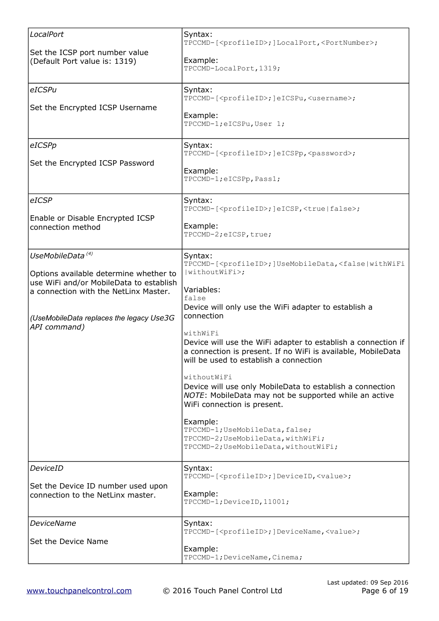| LocalPort<br>Set the ICSP port number value<br>(Default Port value is: 1319)                                                                                                                                           | Syntax:<br>TPCCMD-[ <profileid>; ]LocalPort, <portnumber>;<br/>Example:<br/>TPCCMD-LocalPort, 1319;</portnumber></profileid>                                                                                                                                                                                                                                                                                                                                                                                                                                                                                                                                                                                                             |
|------------------------------------------------------------------------------------------------------------------------------------------------------------------------------------------------------------------------|------------------------------------------------------------------------------------------------------------------------------------------------------------------------------------------------------------------------------------------------------------------------------------------------------------------------------------------------------------------------------------------------------------------------------------------------------------------------------------------------------------------------------------------------------------------------------------------------------------------------------------------------------------------------------------------------------------------------------------------|
| eICSPu<br>Set the Encrypted ICSP Username                                                                                                                                                                              | Syntax:<br>TPCCMD-[ <profileid>; ]eICSPu,<username>;<br/>Example:<br/>TPCCMD-1; eICSPu, User 1;</username></profileid>                                                                                                                                                                                                                                                                                                                                                                                                                                                                                                                                                                                                                   |
| eICSPp<br>Set the Encrypted ICSP Password                                                                                                                                                                              | Syntax:<br>TPCCMD-[ <profileid>; ]eICSPp, <password>;<br/>Example:<br/>TPCCMD-1; eICSPp, Pass1;</password></profileid>                                                                                                                                                                                                                                                                                                                                                                                                                                                                                                                                                                                                                   |
| eICSP<br>Enable or Disable Encrypted ICSP<br>connection method                                                                                                                                                         | Syntax:<br>TPCCMD-[ <profileid>; ]eICSP, <true false=""  ="">;<br/>Example:<br/>TPCCMD-2; eICSP, true;</true></profileid>                                                                                                                                                                                                                                                                                                                                                                                                                                                                                                                                                                                                                |
| UseMobileData <sup>(4)</sup><br>Options available determine whether to<br>use WiFi and/or MobileData to establish<br>a connection with the NetLinx Master.<br>(UseMobileData replaces the legacy Use3G<br>API command) | Syntax:<br>TPCCMD-[ <profileid>; ]UseMobileData, <false withwifi<br=""  =""><math> widthoutWiFi\rangle;</math><br/>Variables:<br/>false<br/>Device will only use the WiFi adapter to establish a<br/>connection<br/>withWiFi<br/>Device will use the WiFi adapter to establish a connection if<br/>a connection is present. If no WiFi is available, MobileData<br/>will be used to establish a connection<br/>withoutWiFi<br/>Device will use only MobileData to establish a connection<br/>NOTE: MobileData may not be supported while an active<br/>WiFi connection is present.<br/>Example:<br/>TPCCMD-1; UseMobileData, false;<br/>TPCCMD-2; UseMobileData, withWiFi;<br/>TPCCMD-2; UseMobileData, withoutWiFi;</false></profileid> |
| <b>DeviceID</b><br>Set the Device ID number used upon<br>connection to the NetLinx master.                                                                                                                             | Syntax:<br>TPCCMD-[ <profileid>; ]DeviceID, <value>;<br/>Example:<br/>TPCCMD-1; DeviceID, 11001;</value></profileid>                                                                                                                                                                                                                                                                                                                                                                                                                                                                                                                                                                                                                     |
| <b>DeviceName</b><br>Set the Device Name                                                                                                                                                                               | Syntax:<br>TPCCMD-[ <profileid>; ]DeviceName, <value>;<br/>Example:<br/>TPCCMD-1; DeviceName, Cinema;</value></profileid>                                                                                                                                                                                                                                                                                                                                                                                                                                                                                                                                                                                                                |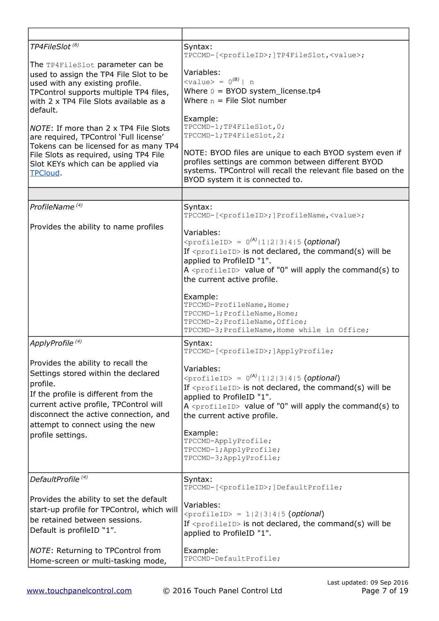| TP4FileSlot <sup>(8)</sup>                                                                                                                                                                                                                                                | Syntax:<br>TPCCMD-[ <profileid>;]TP4FileSlot,<value>;</value></profileid>                                                                                                                                                                                                                                                                                                                                                               |
|---------------------------------------------------------------------------------------------------------------------------------------------------------------------------------------------------------------------------------------------------------------------------|-----------------------------------------------------------------------------------------------------------------------------------------------------------------------------------------------------------------------------------------------------------------------------------------------------------------------------------------------------------------------------------------------------------------------------------------|
| The TP4FileSlot parameter can be<br>used to assign the TP4 File Slot to be<br>used with any existing profile.<br>TPControl supports multiple TP4 files,<br>with 2 x TP4 File Slots available as a<br>default.<br>NOTE: If more than 2 x TP4 File Slots                    | Variables:<br>$\langle \text{value} \rangle = 0^{(B)}   n$<br>Where $0 = BYOD$ system_license.tp4<br>Where $n =$ File Slot number<br>Example:<br>TPCCMD-1; TP4FileSlot, 0;                                                                                                                                                                                                                                                              |
| are required, TPControl 'Full license'<br>Tokens can be licensed for as many TP4<br>File Slots as required, using TP4 File<br>Slot KEYs which can be applied via<br>TPCloud.                                                                                              | TPCCMD-1; TP4FileSlot, 2;<br>NOTE: BYOD files are unique to each BYOD system even if<br>profiles settings are common between different BYOD<br>systems. TPControl will recall the relevant file based on the<br>BYOD system it is connected to.                                                                                                                                                                                         |
|                                                                                                                                                                                                                                                                           |                                                                                                                                                                                                                                                                                                                                                                                                                                         |
| ProfileName <sup>(4)</sup>                                                                                                                                                                                                                                                | Syntax:<br>TPCCMD-[ <profileid>; ]ProfileName,<value>;</value></profileid>                                                                                                                                                                                                                                                                                                                                                              |
| Provides the ability to name profiles                                                                                                                                                                                                                                     | Variables:<br>$\langle$ profileID> = 0 <sup>(A)</sup>  1 2 3 4 5 (optional)<br>If $\langle$ profileID> is not declared, the command(s) will be<br>applied to ProfileID "1".<br>$A \leq p$ rofileID> value of "0" will apply the command(s) to<br>the current active profile.<br>Example:<br>TPCCMD-ProfileName, Home;<br>TPCCMD-1; ProfileName, Home;<br>TPCCMD-2; ProfileName, Office;<br>TPCCMD-3; ProfileName, Home while in Office; |
| ApplyProfile <sup>(4)</sup>                                                                                                                                                                                                                                               | Syntax:<br>TPCCMD-[ <profileid>; ]ApplyProfile;</profileid>                                                                                                                                                                                                                                                                                                                                                                             |
| Provides the ability to recall the<br>Settings stored within the declared<br>profile.<br>If the profile is different from the<br>current active profile, TPControl will<br>disconnect the active connection, and<br>attempt to connect using the new<br>profile settings. | Variables:<br>$\langle \text{profileID} \rangle = 0^{(A)}  1  2  3  4  5$ (optional)<br>If $\langle$ profileID> is not declared, the command(s) will be<br>applied to ProfileID "1".<br>A <profileid> value of "0" will apply the command(s) to<br/>the current active profile.<br/>Example:<br/>TPCCMD-ApplyProfile;<br/>TPCCMD-1; ApplyProfile;<br/>TPCCMD-3; ApplyProfile;</profileid>                                               |
| DefaultProfile <sup>(4)</sup>                                                                                                                                                                                                                                             | Syntax:<br>TPCCMD-[ <profileid>; ]DefaultProfile;</profileid>                                                                                                                                                                                                                                                                                                                                                                           |
| Provides the ability to set the default<br>start-up profile for TPControl, which will<br>be retained between sessions.<br>Default is profileID "1".                                                                                                                       | Variables:<br>$\langle$ profileID> = 1 2 3 4 5 (optional)<br>If <profileid> is not declared, the command(s) will be<br/>applied to ProfileID "1".</profileid>                                                                                                                                                                                                                                                                           |
| <b>NOTE:</b> Returning to TPControl from<br>Home-screen or multi-tasking mode,                                                                                                                                                                                            | Example:<br>TPCCMD-DefaultProfile;                                                                                                                                                                                                                                                                                                                                                                                                      |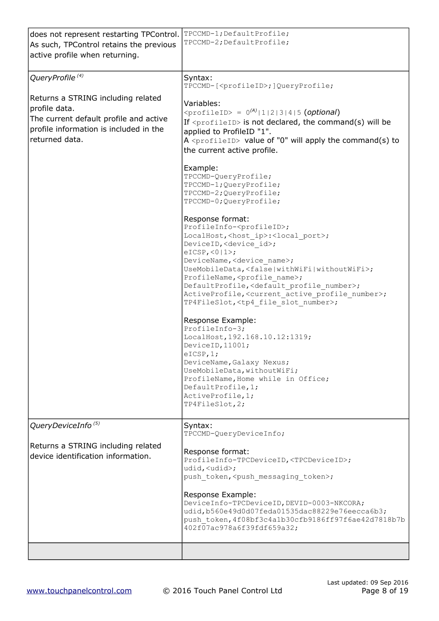| does not represent restarting TPControl.<br>As such, TPControl retains the previous<br>active profile when returning.                                     | TPCCMD-1; DefaultProfile;<br>TPCCMD-2; DefaultProfile;                                                                                                                                                                                                                                                                                                                                                                                                                                                                                                     |
|-----------------------------------------------------------------------------------------------------------------------------------------------------------|------------------------------------------------------------------------------------------------------------------------------------------------------------------------------------------------------------------------------------------------------------------------------------------------------------------------------------------------------------------------------------------------------------------------------------------------------------------------------------------------------------------------------------------------------------|
| QueryProfile <sup>(4)</sup>                                                                                                                               | Syntax:<br>TPCCMD-[ <profileid>; ]QueryProfile;</profileid>                                                                                                                                                                                                                                                                                                                                                                                                                                                                                                |
| Returns a STRING including related<br>profile data.<br>The current default profile and active<br>profile information is included in the<br>returned data. | Variables:<br>$\langle \text{profileID} \rangle = 0^{(A)}  1  2  3  4  5$ (optional)<br>If $\langle$ profileID> is not declared, the command(s) will be<br>applied to ProfileID "1".<br>A $\langle$ profileID> value of "0" will apply the command(s) to<br>the current active profile.                                                                                                                                                                                                                                                                    |
|                                                                                                                                                           | Example:<br>TPCCMD-QueryProfile;<br>TPCCMD-1; QueryProfile;<br>TPCCMD-2; QueryProfile;<br>TPCCMD-0; QueryProfile;                                                                                                                                                                                                                                                                                                                                                                                                                                          |
|                                                                                                                                                           | Response format:<br>ProfileInfo- <profileid>;<br/>LocalHost,<host ip="">:<local port="">;<br/>DeviceID, <device id="">;<br/><math>eICSP, &lt;0 1&gt;</math>;<br/>DeviceName, <device name="">;<br/>UseMobileData, <false withoutwifi="" withwifi=""  ="">;<br/>ProfileName, <profile name="">;<br/>DefaultProfile, <default number="" profile="">;<br/>ActiveProfile, <current active="" number="" profile="">;<br/>TP4FileSlot, <tp4 file="" number="" slot="">;</tp4></current></default></profile></false></device></device></local></host></profileid> |
|                                                                                                                                                           | Response Example:<br>ProfileInfo-3;<br>LocalHost, 192.168.10.12:1319;<br>DeviceID, 11001;<br>eICSP, 1;<br>DeviceName, Galaxy Nexus;<br>UseMobileData, withoutWiFi;<br>ProfileName, Home while in Office;<br>DefaultProfile, 1;<br>ActiveProfile, 1;<br>TP4FileSlot, 2;                                                                                                                                                                                                                                                                                     |
| QueryDeviceInfo <sup>(5)</sup>                                                                                                                            | Syntax:<br>TPCCMD-QueryDeviceInfo;                                                                                                                                                                                                                                                                                                                                                                                                                                                                                                                         |
| Returns a STRING including related<br>device identification information.                                                                                  | Response format:<br>ProfileInfo-TPCDeviceID, <tpcdeviceid>;<br/>udid, <udid>;<br/>push token, <push messaging="" token="">;<br/>Response Example:<br/>DeviceInfo-TPCDeviceID, DEVID-0003-NKCORA;<br/>udid, b560e49d0d07feda01535dac88229e76eecca6b3;<br/>push token, 4f08bf3c4a1b30cfb9186ff97f6ae42d7818b7b</push></udid></tpcdeviceid>                                                                                                                                                                                                                   |
|                                                                                                                                                           | 402f07ac978a6f39fdf659a32;                                                                                                                                                                                                                                                                                                                                                                                                                                                                                                                                 |
|                                                                                                                                                           |                                                                                                                                                                                                                                                                                                                                                                                                                                                                                                                                                            |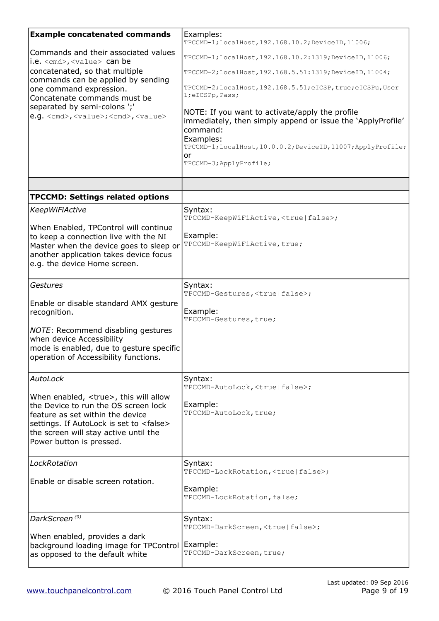| <b>Example concatenated commands</b>                                                                                                                                                                                                                  | Examples:<br>TPCCMD-1; LocalHost, 192.168.10.2; DeviceID, 11006;                                                                                                                                                                          |
|-------------------------------------------------------------------------------------------------------------------------------------------------------------------------------------------------------------------------------------------------------|-------------------------------------------------------------------------------------------------------------------------------------------------------------------------------------------------------------------------------------------|
| Commands and their associated values<br>i.e. <cmd>, <value> can be</value></cmd>                                                                                                                                                                      | TPCCMD-1; LocalHost, 192.168.10.2:1319; DeviceID, 11006;                                                                                                                                                                                  |
| concatenated, so that multiple                                                                                                                                                                                                                        | TPCCMD-2; LocalHost, 192.168.5.51:1319; DeviceID, 11004;                                                                                                                                                                                  |
| commands can be applied by sending<br>one command expression.<br>Concatenate commands must be                                                                                                                                                         | TPCCMD-2; LocalHost, 192.168.5.51; eICSP, true; eICSPu, User<br>l;eICSPp, Pass;                                                                                                                                                           |
| separated by semi-colons ';'<br>e.g. <cmd>, <value>; <cmd>, <value></value></cmd></value></cmd>                                                                                                                                                       | NOTE: If you want to activate/apply the profile<br>immediately, then simply append or issue the 'ApplyProfile'<br>command:<br>Examples:<br>TPCCMD-1; LocalHost, 10.0.0.2; DeviceID, 11007; ApplyProfile;<br>or<br>TPCCMD-3; ApplyProfile; |
|                                                                                                                                                                                                                                                       |                                                                                                                                                                                                                                           |
| <b>TPCCMD: Settings related options</b>                                                                                                                                                                                                               |                                                                                                                                                                                                                                           |
| <b>KeepWiFiActive</b>                                                                                                                                                                                                                                 | Syntax:<br>TPCCMD-KeepWiFiActive, <true false=""  ="">;</true>                                                                                                                                                                            |
| When Enabled, TPControl will continue<br>to keep a connection live with the NI<br>Master when the device goes to sleep or<br>another application takes device focus<br>e.g. the device Home screen.                                                   | Example:<br>TPCCMD-KeepWiFiActive, true;                                                                                                                                                                                                  |
| Gestures                                                                                                                                                                                                                                              | Syntax:<br>TPCCMD-Gestures, <true false=""  ="">;</true>                                                                                                                                                                                  |
| Enable or disable standard AMX gesture<br>recognition.                                                                                                                                                                                                | Example:<br>TPCCMD-Gestures, true;                                                                                                                                                                                                        |
| NOTE: Recommend disabling gestures<br>when device Accessibility<br>mode is enabled, due to gesture specific<br>operation of Accessibility functions.                                                                                                  |                                                                                                                                                                                                                                           |
| AutoLock                                                                                                                                                                                                                                              | Syntax:<br>TPCCMD-AutoLock, <true false=""  ="">;</true>                                                                                                                                                                                  |
| When enabled, <true>, this will allow<br/>the Device to run the OS screen lock<br/>feature as set within the device<br/>settings. If AutoLock is set to <false><br/>the screen will stay active until the<br/>Power button is pressed.</false></true> | Example:<br>TPCCMD-AutoLock, true;                                                                                                                                                                                                        |
| LockRotation                                                                                                                                                                                                                                          | Syntax:<br>TPCCMD-LockRotation, <true false=""  ="">;</true>                                                                                                                                                                              |
| Enable or disable screen rotation.                                                                                                                                                                                                                    | Example:<br>TPCCMD-LockRotation, false;                                                                                                                                                                                                   |
| DarkScreen <sup>(9)</sup>                                                                                                                                                                                                                             | Syntax:<br>TPCCMD-DarkScreen, <true false=""  ="">;</true>                                                                                                                                                                                |
| When enabled, provides a dark<br>background loading image for TPControl<br>as opposed to the default white                                                                                                                                            | Example:<br>TPCCMD-DarkScreen, true;                                                                                                                                                                                                      |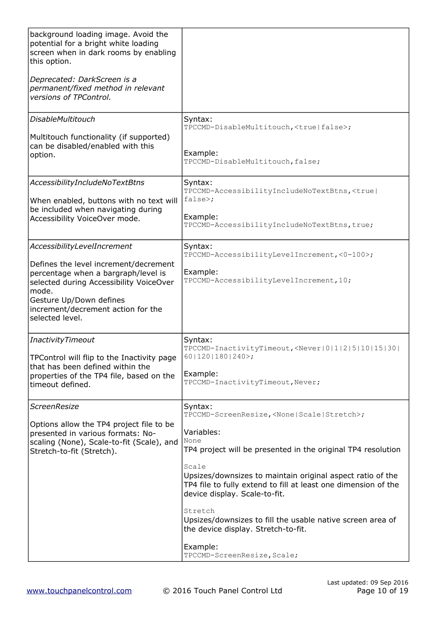| background loading image. Avoid the<br>potential for a bright white loading<br>screen when in dark rooms by enabling<br>this option.<br>Deprecated: DarkScreen is a<br>permanent/fixed method in relevant<br>versions of TPControl. |                                                                                                                                                                        |
|-------------------------------------------------------------------------------------------------------------------------------------------------------------------------------------------------------------------------------------|------------------------------------------------------------------------------------------------------------------------------------------------------------------------|
| <b>DisableMultitouch</b>                                                                                                                                                                                                            | Syntax:<br>TPCCMD-DisableMultitouch, <true false=""  ="">;</true>                                                                                                      |
| Multitouch functionality (if supported)<br>can be disabled/enabled with this<br>option.                                                                                                                                             | Example:<br>TPCCMD-DisableMultitouch, false;                                                                                                                           |
| AccessibilityIncludeNoTextBtns                                                                                                                                                                                                      | Syntax:<br>TPCCMD-AccessibilityIncludeNoTextBtns, <true < td=""></true <>                                                                                              |
| When enabled, buttons with no text will<br>be included when navigating during<br>Accessibility VoiceOver mode.                                                                                                                      | false>;<br>Example:<br>TPCCMD-AccessibilityIncludeNoTextBtns, true;                                                                                                    |
| AccessibilityLevelIncrement                                                                                                                                                                                                         | Syntax:<br>TPCCMD-AccessibilityLevelIncrement, <0-100>;                                                                                                                |
| Defines the level increment/decrement<br>percentage when a bargraph/level is<br>selected during Accessibility VoiceOver<br>mode.<br>Gesture Up/Down defines<br>increment/decrement action for the<br>selected level.                | Example:<br>TPCCMD-AccessibilityLevelIncrement, 10;                                                                                                                    |
| InactivityTimeout                                                                                                                                                                                                                   | Syntax:<br>TPCCMD-InactivityTimeout, <never 0 1 2 5 10 15 30 < td=""></never 0 1 2 5 10 15 30 <>                                                                       |
| TPControl will flip to the Inactivity page<br>that has been defined within the<br>properties of the TP4 file, based on the<br>timeout defined.                                                                                      | $60 120 180 240$ ;<br>Example:<br>TPCCMD-InactivityTimeout, Never;                                                                                                     |
| <b>ScreenResize</b>                                                                                                                                                                                                                 | Syntax:<br>TPCCMD-ScreenResize, <none scale="" stretch=""  ="">;</none>                                                                                                |
| Options allow the TP4 project file to be<br>presented in various formats: No-<br>scaling (None), Scale-to-fit (Scale), and<br>Stretch-to-fit (Stretch).                                                                             | Variables:<br>None<br>TP4 project will be presented in the original TP4 resolution                                                                                     |
|                                                                                                                                                                                                                                     | Scale<br>Upsizes/downsizes to maintain original aspect ratio of the<br>TP4 file to fully extend to fill at least one dimension of the<br>device display. Scale-to-fit. |
|                                                                                                                                                                                                                                     | Stretch<br>Upsizes/downsizes to fill the usable native screen area of<br>the device display. Stretch-to-fit.                                                           |
|                                                                                                                                                                                                                                     | Example:<br>TPCCMD-ScreenResize, Scale;                                                                                                                                |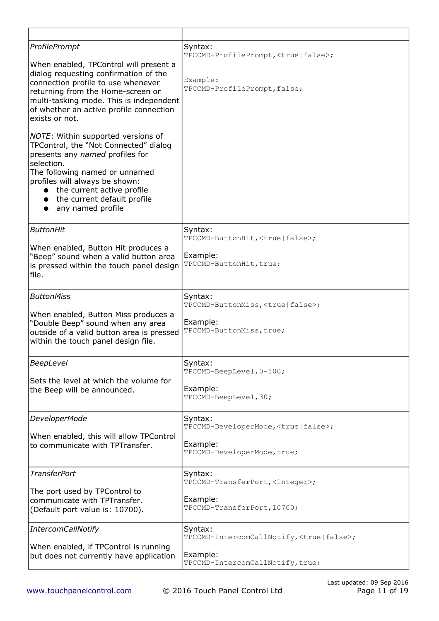| ProfilePrompt<br>When enabled, TPControl will present a<br>dialog requesting confirmation of the<br>connection profile to use whenever<br>returning from the Home-screen or<br>multi-tasking mode. This is independent<br>of whether an active profile connection<br>exists or not.<br>NOTE: Within supported versions of<br>TPControl, the "Not Connected" dialog<br>presents any named profiles for<br>selection.<br>The following named or unnamed<br>profiles will always be shown:<br>the current active profile<br>$\bullet$<br>• the current default profile<br>• any named profile | Syntax:<br>TPCCMD-ProfilePrompt, <true false=""  ="">;<br/>Example:<br/>TPCCMD-ProfilePrompt, false;</true> |
|--------------------------------------------------------------------------------------------------------------------------------------------------------------------------------------------------------------------------------------------------------------------------------------------------------------------------------------------------------------------------------------------------------------------------------------------------------------------------------------------------------------------------------------------------------------------------------------------|-------------------------------------------------------------------------------------------------------------|
| <b>ButtonHit</b>                                                                                                                                                                                                                                                                                                                                                                                                                                                                                                                                                                           | Syntax:<br>TPCCMD-ButtonHit, <true false=""  ="">;</true>                                                   |
| When enabled, Button Hit produces a<br>"Beep" sound when a valid button area<br>is pressed within the touch panel design<br>file.                                                                                                                                                                                                                                                                                                                                                                                                                                                          | Example:<br>TPCCMD-ButtonHit, true;                                                                         |
| <b>ButtonMiss</b>                                                                                                                                                                                                                                                                                                                                                                                                                                                                                                                                                                          | Syntax:<br>TPCCMD-ButtonMiss, <true false=""  ="">;</true>                                                  |
| When enabled, Button Miss produces a<br>"Double Beep" sound when any area<br>outside of a valid button area is pressed<br>within the touch panel design file.                                                                                                                                                                                                                                                                                                                                                                                                                              | Example:<br>TPCCMD-ButtonMiss, true;                                                                        |
| BeepLevel                                                                                                                                                                                                                                                                                                                                                                                                                                                                                                                                                                                  | Syntax:<br>TPCCMD-BeepLevel, 0-100;                                                                         |
| Sets the level at which the volume for<br>the Beep will be announced.                                                                                                                                                                                                                                                                                                                                                                                                                                                                                                                      | Example:<br>TPCCMD-BeepLevel, 30;                                                                           |
| DeveloperMode                                                                                                                                                                                                                                                                                                                                                                                                                                                                                                                                                                              | Syntax:<br>TPCCMD-DeveloperMode, <true false=""  ="">;</true>                                               |
| When enabled, this will allow TPControl<br>to communicate with TPTransfer.                                                                                                                                                                                                                                                                                                                                                                                                                                                                                                                 | Example:<br>TPCCMD-DeveloperMode, true;                                                                     |
| <b>TransferPort</b>                                                                                                                                                                                                                                                                                                                                                                                                                                                                                                                                                                        | Syntax:<br>TPCCMD-TransferPort, <integer>;</integer>                                                        |
| The port used by TPControl to<br>communicate with TPTransfer.<br>(Default port value is: 10700).                                                                                                                                                                                                                                                                                                                                                                                                                                                                                           | Example:<br>TPCCMD-TransferPort, 10700;                                                                     |
| <b>IntercomCallNotify</b>                                                                                                                                                                                                                                                                                                                                                                                                                                                                                                                                                                  | Syntax:<br>TPCCMD-IntercomCallNotify, <true false=""  ="">;</true>                                          |
| When enabled, if TPControl is running<br>but does not currently have application                                                                                                                                                                                                                                                                                                                                                                                                                                                                                                           | Example:<br>TPCCMD-IntercomCallNotify, true;                                                                |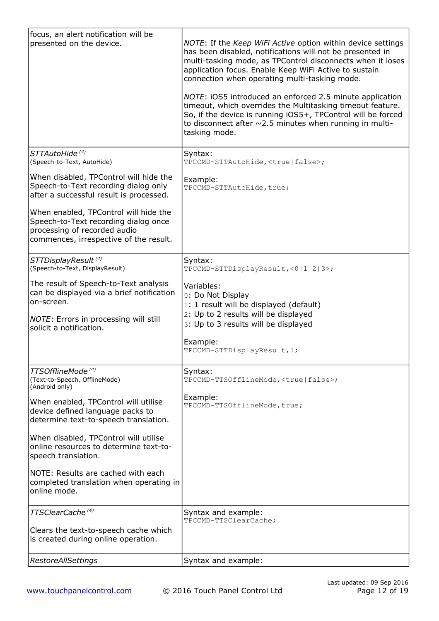| focus, an alert notification will be<br>presented on the device.                                                                                                             | NOTE: If the Keep WiFi Active option within device settings<br>has been disabled, notifications will not be presented in<br>multi-tasking mode, as TPControl disconnects when it loses<br>application focus. Enable Keep WiFi Active to sustain<br>connection when operating multi-tasking mode.<br>NOTE: iOS5 introduced an enforced 2.5 minute application<br>timeout, which overrides the Multitasking timeout feature.<br>So, if the device is running iOS5+, TPControl will be forced<br>to disconnect after $\sim$ 2.5 minutes when running in multi-<br>tasking mode. |
|------------------------------------------------------------------------------------------------------------------------------------------------------------------------------|------------------------------------------------------------------------------------------------------------------------------------------------------------------------------------------------------------------------------------------------------------------------------------------------------------------------------------------------------------------------------------------------------------------------------------------------------------------------------------------------------------------------------------------------------------------------------|
| STTAutoHide <sup>(4)</sup><br>(Speech-to-Text, AutoHide)                                                                                                                     | Syntax:<br>TPCCMD-STTAutoHide, <true false=""  ="">;</true>                                                                                                                                                                                                                                                                                                                                                                                                                                                                                                                  |
| When disabled, TPControl will hide the<br>Speech-to-Text recording dialog only<br>after a successful result is processed.                                                    | Example:<br>TPCCMD-STTAutoHide, true;                                                                                                                                                                                                                                                                                                                                                                                                                                                                                                                                        |
| When enabled, TPControl will hide the<br>Speech-to-Text recording dialog once<br>processing of recorded audio<br>commences, irrespective of the result.                      |                                                                                                                                                                                                                                                                                                                                                                                                                                                                                                                                                                              |
| STTDisplayResult <sup>(4)</sup><br>(Speech-to-Text, DisplayResult)                                                                                                           | Syntax:<br>TPCCMD-STTDisplayResult, <0 1 2 3>;                                                                                                                                                                                                                                                                                                                                                                                                                                                                                                                               |
| The result of Speech-to-Text analysis<br>can be displayed via a brief notification<br>on-screen.<br><i>NOTE</i> : Errors in processing will still<br>solicit a notification. | Variables:<br>0: Do Not Display<br>1: 1 result will be displayed (default)<br>2: Up to 2 results will be displayed<br>3: Up to 3 results will be displayed<br>Example:<br>TPCCMD-STTDisplayResult, 1;                                                                                                                                                                                                                                                                                                                                                                        |
| TTSOfflineMode <sup>(4)</sup><br>(Text-to-Speech, OfflineMode)<br>(Android only)                                                                                             | Syntax:<br>TPCCMD-TTSOfflineMode, <true false>;</true false>                                                                                                                                                                                                                                                                                                                                                                                                                                                                                                                 |
| When enabled, TPControl will utilise<br>device defined language packs to<br>determine text-to-speech translation.                                                            | Example:<br>TPCCMD-TTSOfflineMode, true;                                                                                                                                                                                                                                                                                                                                                                                                                                                                                                                                     |
| When disabled, TPControl will utilise<br>online resources to determine text-to-<br>speech translation.                                                                       |                                                                                                                                                                                                                                                                                                                                                                                                                                                                                                                                                                              |
| NOTE: Results are cached with each<br>completed translation when operating in<br>online mode.                                                                                |                                                                                                                                                                                                                                                                                                                                                                                                                                                                                                                                                                              |
| TTSClearCache <sup>(4)</sup>                                                                                                                                                 | Syntax and example:<br>TPCCMD-TTSClearCache;                                                                                                                                                                                                                                                                                                                                                                                                                                                                                                                                 |
| Clears the text-to-speech cache which<br>is created during online operation.                                                                                                 |                                                                                                                                                                                                                                                                                                                                                                                                                                                                                                                                                                              |
| <b>RestoreAllSettings</b>                                                                                                                                                    | Syntax and example:                                                                                                                                                                                                                                                                                                                                                                                                                                                                                                                                                          |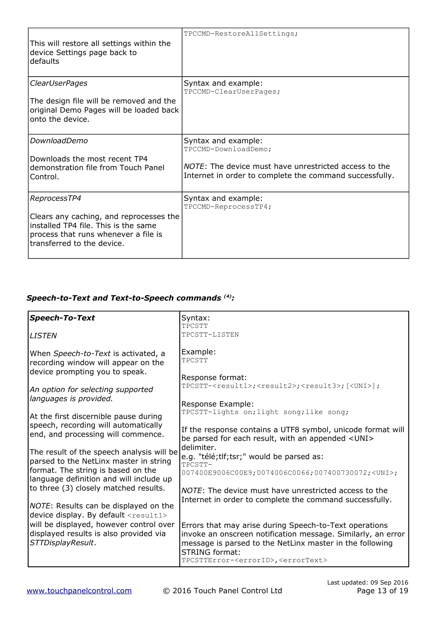| This will restore all settings within the<br>device Settings page back to<br>defaults                                                                                 | TPCCMD-RestoreAllSettings;                                                                                                                                      |
|-----------------------------------------------------------------------------------------------------------------------------------------------------------------------|-----------------------------------------------------------------------------------------------------------------------------------------------------------------|
| <b>ClearUserPages</b><br>The design file will be removed and the<br>original Demo Pages will be loaded back<br>onto the device.                                       | Syntax and example:<br>TPCCMD-ClearUserPages;                                                                                                                   |
| DownloadDemo<br>Downloads the most recent TP4<br>demonstration file from Touch Panel<br>Control.                                                                      | Syntax and example:<br>TPCCMD-DownloadDemo;<br>NOTE: The device must have unrestricted access to the<br>Internet in order to complete the command successfully. |
| ReprocessTP4<br>Clears any caching, and reprocesses the<br>installed TP4 file. This is the same<br>process that runs whenever a file is<br>transferred to the device. | Syntax and example:<br>TPCCMD-ReprocessTP4;                                                                                                                     |

## *Speech-to-Text and Text-to-Speech commands (4):*

| <b>Speech-To-Text</b>                                                                                               | Syntax:                                                                                                                                                                                                                                                                 |
|---------------------------------------------------------------------------------------------------------------------|-------------------------------------------------------------------------------------------------------------------------------------------------------------------------------------------------------------------------------------------------------------------------|
|                                                                                                                     | TPCSTT                                                                                                                                                                                                                                                                  |
| <b>LISTEN</b>                                                                                                       | TPCSTT-LISTEN                                                                                                                                                                                                                                                           |
| When Speech-to-Text is activated, a<br>recording window will appear on the<br>device prompting you to speak.        | Example:<br>TPCSTT                                                                                                                                                                                                                                                      |
| An option for selecting supported                                                                                   | Response format:<br>TPCSTT- <result1>;<result2>;<result3>;[<uni>];</uni></result3></result2></result1>                                                                                                                                                                  |
| languages is provided.                                                                                              | Response Example:<br>TPCSTT-lights on; light song; like song;                                                                                                                                                                                                           |
| At the first discernible pause during<br>speech, recording will automatically<br>end, and processing will commence. | If the response contains a UTF8 symbol, unicode format will<br>be parsed for each result, with an appended <uni></uni>                                                                                                                                                  |
| The result of the speech analysis will be<br>parsed to the NetLinx master in string                                 | delimiter.<br>e.g. "télé;tlf;tsr;" would be parsed as:<br>TPCSTT-                                                                                                                                                                                                       |
| format. The string is based on the<br>language definition and will include up                                       | 007400E9006C00E9;0074006C0066;007400730072; <uni>;</uni>                                                                                                                                                                                                                |
| to three (3) closely matched results.                                                                               | NOTE: The device must have unrestricted access to the<br>Internet in order to complete the command successfully.                                                                                                                                                        |
| NOTE: Results can be displayed on the<br>device display. By default <result1></result1>                             |                                                                                                                                                                                                                                                                         |
| will be displayed, however control over<br>displayed results is also provided via<br>STTDisplayResult.              | Errors that may arise during Speech-to-Text operations<br>invoke an onscreen notification message. Similarly, an error<br>message is parsed to the NetLinx master in the following<br><b>STRING format:</b><br>TPCSTTError- <errorid>,<errortext></errortext></errorid> |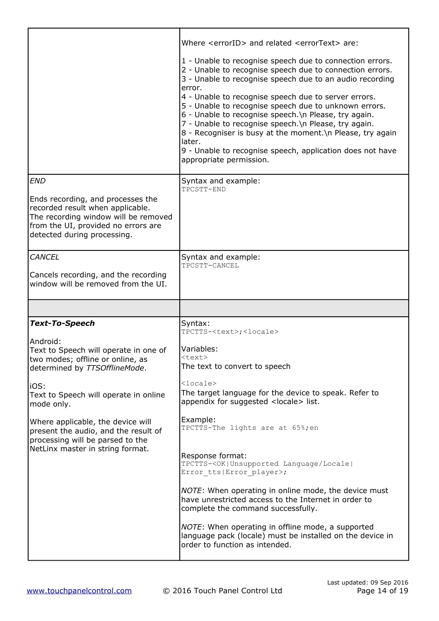|                                                                                                                                                                                                                                                                    | Where <errorid> and related <errortext> are:<br/>1 - Unable to recognise speech due to connection errors.<br/>2 - Unable to recognise speech due to connection errors.<br/>3 - Unable to recognise speech due to an audio recording<br/>error.<br/>4 - Unable to recognise speech due to server errors.<br/>5 - Unable to recognise speech due to unknown errors.<br/>6 - Unable to recognise speech. \n Please, try again.<br/>7 - Unable to recognise speech. \n Please, try again.<br/>8 - Recogniser is busy at the moment. \n Please, try again<br/>later.<br/>9 - Unable to recognise speech, application does not have<br/>appropriate permission.</errortext></errorid> |
|--------------------------------------------------------------------------------------------------------------------------------------------------------------------------------------------------------------------------------------------------------------------|---------------------------------------------------------------------------------------------------------------------------------------------------------------------------------------------------------------------------------------------------------------------------------------------------------------------------------------------------------------------------------------------------------------------------------------------------------------------------------------------------------------------------------------------------------------------------------------------------------------------------------------------------------------------------------|
| <b>END</b><br>Ends recording, and processes the<br>recorded result when applicable.<br>The recording window will be removed<br>from the UI, provided no errors are<br>detected during processing.                                                                  | Syntax and example:<br>TPCSTT-END                                                                                                                                                                                                                                                                                                                                                                                                                                                                                                                                                                                                                                               |
| <b>CANCEL</b><br>Cancels recording, and the recording<br>window will be removed from the UI.                                                                                                                                                                       | Syntax and example:<br>TPCSTT-CANCEL                                                                                                                                                                                                                                                                                                                                                                                                                                                                                                                                                                                                                                            |
|                                                                                                                                                                                                                                                                    |                                                                                                                                                                                                                                                                                                                                                                                                                                                                                                                                                                                                                                                                                 |
| <b>Text-To-Speech</b>                                                                                                                                                                                                                                              | Syntax:<br>TPCTTS- <text>;<locale></locale></text>                                                                                                                                                                                                                                                                                                                                                                                                                                                                                                                                                                                                                              |
| Android:<br>Text to Speech will operate in one of<br>two modes; offline or online, as<br>determined by TTSOfflineMode.<br>iOS:<br>Text to Speech will operate in online<br>mode only.<br>Where applicable, the device will<br>present the audio, and the result of | Variables:<br><text><br/>The text to convert to speech<br/><math>\langle</math>locale&gt;<br/>The target language for the device to speak. Refer to<br/>appendix for suggested <locale> list.<br/>Example:<br/>TPCTTS-The lights are at 65%; en</locale></text>                                                                                                                                                                                                                                                                                                                                                                                                                 |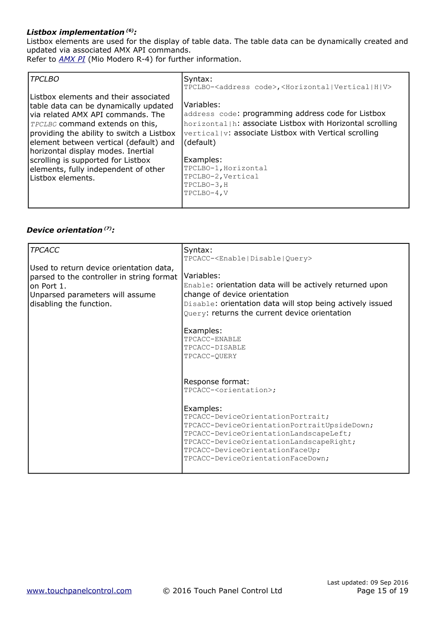#### *Listbox implementation (6):*

Listbox elements are used for the display of table data. The table data can be dynamically created and updated via associated AMX API commands.

Refer to *[AMX PI](http://www.amx.com/assets/AMX-PI2/AMX-PI2.htm)* (Mio Modero R-4) for further information.

| <i>TPCLBO</i>                                                                                                                                                                                                                                                                                                                                                                                   | Syntax:                                                                                                                                                                                                                                                                                       |
|-------------------------------------------------------------------------------------------------------------------------------------------------------------------------------------------------------------------------------------------------------------------------------------------------------------------------------------------------------------------------------------------------|-----------------------------------------------------------------------------------------------------------------------------------------------------------------------------------------------------------------------------------------------------------------------------------------------|
|                                                                                                                                                                                                                                                                                                                                                                                                 | TPCLBO- <address code="">,<horizontal vertical h v></horizontal vertical h v></address>                                                                                                                                                                                                       |
| IListbox elements and their associated<br>table data can be dynamically updated<br>lvia related AMX API commands. The<br><i>TPCLBO</i> command extends on this,<br>providing the ability to switch a Listbox<br>element between vertical (default) and<br>horizontal display modes. Inertial<br>scrolling is supported for Listbox<br>elements, fully independent of other<br>Listbox elements. | Variables:<br>address code: programming address code for Listbox<br>horizontal (h: associate Listbox with Horizontal scrolling<br>vertical v: associate Listbox with Vertical scrolling<br>(default)<br>Examples:<br>TPCLBO-1, Horizontal<br>TPCLBO-2, Vertical<br>TPCLBO-3, H<br>TPCLBO-4, V |
|                                                                                                                                                                                                                                                                                                                                                                                                 |                                                                                                                                                                                                                                                                                               |

#### *Device orientation (7):*

| <b>TPCACC</b>                                                                                                                                                     | Syntax:<br>TPCACC- <enable disable query></enable disable query>                                                                                                                                                                                           |
|-------------------------------------------------------------------------------------------------------------------------------------------------------------------|------------------------------------------------------------------------------------------------------------------------------------------------------------------------------------------------------------------------------------------------------------|
| Used to return device orientation data,<br>parsed to the controller in string format<br>lon Port 1.<br>Unparsed parameters will assume<br>disabling the function. | Variables:<br>Enable: orientation data will be actively returned upon<br>change of device orientation<br>Disable: orientation data will stop being actively issued<br>Query: returns the current device orientation                                        |
|                                                                                                                                                                   | Examples:<br>TPCACC-ENABLE<br>TPCACC-DISABLE<br>TPCACC-OUERY                                                                                                                                                                                               |
|                                                                                                                                                                   | Response format:<br>TPCACC- <orientation>;</orientation>                                                                                                                                                                                                   |
|                                                                                                                                                                   | Examples:<br>TPCACC-DeviceOrientationPortrait;<br>TPCACC-DeviceOrientationPortraitUpsideDown;<br>TPCACC-DeviceOrientationLandscapeLeft;<br>TPCACC-DeviceOrientationLandscapeRight;<br>TPCACC-DeviceOrientationFaceUp;<br>TPCACC-DeviceOrientationFaceDown; |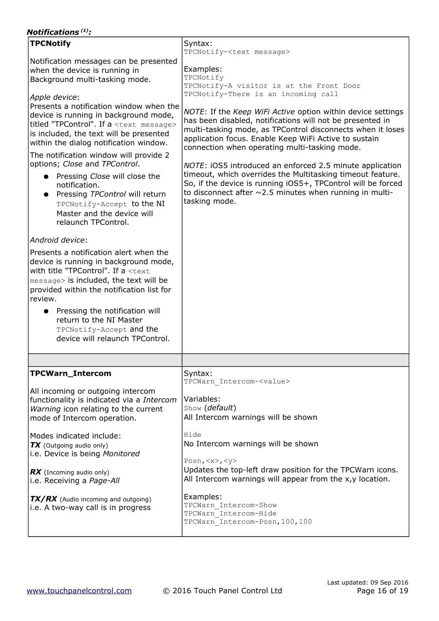### *Notifications (1):*

| <b>TPCNotify</b>                                                                                                                                                                                                                                                                                                                                                                                                                                                                                                  | Syntax:<br>TPCNotify- <text message=""></text>                                                                                                                                                                                                                                                                                                                                                                                                                                                                                                                               |
|-------------------------------------------------------------------------------------------------------------------------------------------------------------------------------------------------------------------------------------------------------------------------------------------------------------------------------------------------------------------------------------------------------------------------------------------------------------------------------------------------------------------|------------------------------------------------------------------------------------------------------------------------------------------------------------------------------------------------------------------------------------------------------------------------------------------------------------------------------------------------------------------------------------------------------------------------------------------------------------------------------------------------------------------------------------------------------------------------------|
| Notification messages can be presented<br>when the device is running in<br>Background multi-tasking mode.<br>Apple device:                                                                                                                                                                                                                                                                                                                                                                                        | Examples:<br>TPCNotify<br>TPCNotify-A visitor is at the Front Door<br>TPCNotify-There is an incoming call                                                                                                                                                                                                                                                                                                                                                                                                                                                                    |
| Presents a notification window when the<br>device is running in background mode,<br>titled "TPControl". If a <text message=""><br/>is included, the text will be presented<br/>within the dialog notification window.<br/>The notification window will provide 2<br/>options; Close and TPControl.<br/>• Pressing Close will close the<br/>notification.<br/>Pressing TPControl will return<br/><math>\bullet</math><br/>TPCNotify-Accept to the NI<br/>Master and the device will<br/>relaunch TPControl.</text> | NOTE: If the Keep WiFi Active option within device settings<br>has been disabled, notifications will not be presented in<br>multi-tasking mode, as TPControl disconnects when it loses<br>application focus. Enable Keep WiFi Active to sustain<br>connection when operating multi-tasking mode.<br>NOTE: iOS5 introduced an enforced 2.5 minute application<br>timeout, which overrides the Multitasking timeout feature.<br>So, if the device is running iOS5+, TPControl will be forced<br>to disconnect after $\sim$ 2.5 minutes when running in multi-<br>tasking mode. |
| Android device:<br>Presents a notification alert when the<br>device is running in background mode,<br>with title "TPControl". If a <text<br>message&gt; is included, the text will be<br/>provided within the notification list for<br/>review.<br/>Pressing the notification will<br/>return to the NI Master<br/>TPCNotify-Accept and the<br/>device will relaunch TPControl.</text<br>                                                                                                                         |                                                                                                                                                                                                                                                                                                                                                                                                                                                                                                                                                                              |
|                                                                                                                                                                                                                                                                                                                                                                                                                                                                                                                   |                                                                                                                                                                                                                                                                                                                                                                                                                                                                                                                                                                              |
| <b>TPCWarn_Intercom</b><br>All incoming or outgoing intercom<br>functionality is indicated via a Intercom<br>Warning icon relating to the current<br>mode of Intercom operation.                                                                                                                                                                                                                                                                                                                                  | Syntax:<br>TPCWarn Intercom- <value><br/>Variables:<br/>Show (default)<br/>All Intercom warnings will be shown</value>                                                                                                                                                                                                                                                                                                                                                                                                                                                       |
| Modes indicated include:<br>TX (Outgoing audio only)<br>i.e. Device is being Monitored<br>$\mathbf{R}$ (Incoming audio only)<br>i.e. Receiving a Page-All                                                                                                                                                                                                                                                                                                                                                         | Hide<br>No Intercom warnings will be shown<br>Posn, $\langle x \rangle$ , $\langle y \rangle$<br>Updates the top-left draw position for the TPCWarn icons.<br>All Intercom warnings will appear from the x,y location.                                                                                                                                                                                                                                                                                                                                                       |
| TX/RX (Audio incoming and outgoing)<br>i.e. A two-way call is in progress                                                                                                                                                                                                                                                                                                                                                                                                                                         | Examples:<br>TPCWarn Intercom-Show<br>TPCWarn Intercom-Hide<br>TPCWarn Intercom-Posn, 100, 100                                                                                                                                                                                                                                                                                                                                                                                                                                                                               |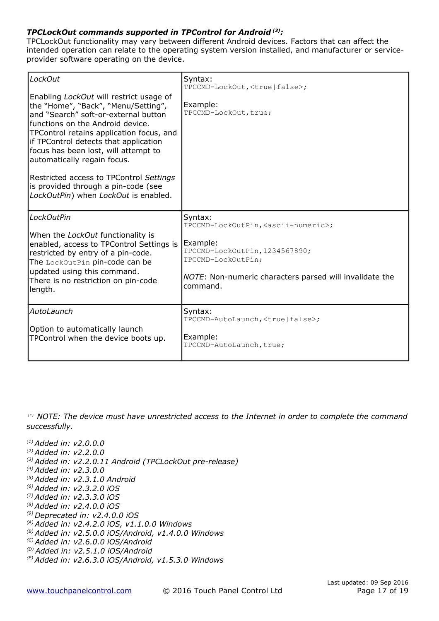#### *TPCLockOut commands supported in TPControl for Android (3):*

TPCLockOut functionality may vary between different Android devices. Factors that can affect the intended operation can relate to the operating system version installed, and manufacturer or serviceprovider software operating on the device.

| LockOut                                                                                                                                                                                                                                                                                                                                                                                                                                          | Syntax:<br>TPCCMD-LockOut, <true false=""  ="">;</true>                                                                                 |  |
|--------------------------------------------------------------------------------------------------------------------------------------------------------------------------------------------------------------------------------------------------------------------------------------------------------------------------------------------------------------------------------------------------------------------------------------------------|-----------------------------------------------------------------------------------------------------------------------------------------|--|
| Enabling LockOut will restrict usage of<br>the "Home", "Back", "Menu/Setting",<br>and "Search" soft-or-external button<br>functions on the Android device.<br>TPControl retains application focus, and<br>if TPControl detects that application<br>focus has been lost, will attempt to<br>automatically regain focus.<br>Restricted access to TPControl Settings<br>is provided through a pin-code (see<br>LockOutPin) when LockOut is enabled. | Example:<br>TPCCMD-LockOut, true;                                                                                                       |  |
| <b>LockOutPin</b>                                                                                                                                                                                                                                                                                                                                                                                                                                | Syntax:<br>TPCCMD-LockOutPin, <ascii-numeric>;</ascii-numeric>                                                                          |  |
| When the LockOut functionality is<br>enabled, access to TPControl Settings is<br>restricted by entry of a pin-code.<br>The LockOutPin pin-code can be<br>updated using this command.<br>There is no restriction on pin-code<br>length.                                                                                                                                                                                                           | Example:<br>TPCCMD-LockOutPin, 1234567890;<br>TPCCMD-LockOutPin;<br>NOTE: Non-numeric characters parsed will invalidate the<br>command. |  |
| AutoLaunch                                                                                                                                                                                                                                                                                                                                                                                                                                       | Syntax:<br>TPCCMD-AutoLaunch, <true false=""  ="">;</true>                                                                              |  |
| Option to automatically launch<br>TPControl when the device boots up.                                                                                                                                                                                                                                                                                                                                                                            | Example:<br>TPCCMD-AutoLaunch, true;                                                                                                    |  |

*(\*) NOTE: The device must have unrestricted access to the Internet in order to complete the command successfully.*

*(1) Added in: v2.0.0.0 (2) Added in: v2.2.0.0 (3) Added in: v2.2.0.11 Android (TPCLockOut pre-release) (4) Added in: v2.3.0.0 (5) Added in: v2.3.1.0 Android (6) Added in: v2.3.2.0 iOS (7) Added in: v2.3.3.0 iOS (8) Added in: v2.4.0.0 iOS (9) Deprecated in: v2.4.0.0 iOS (A) Added in: v2.4.2.0 iOS, v1.1.0.0 Windows (B) Added in: v2.5.0.0 iOS/Android, v1.4.0.0 Windows (C) Added in: v2.6.0.0 iOS/Android (D) Added in: v2.5.1.0 iOS/Android (E) Added in: v2.6.3.0 iOS/Android, v1.5.3.0 Windows*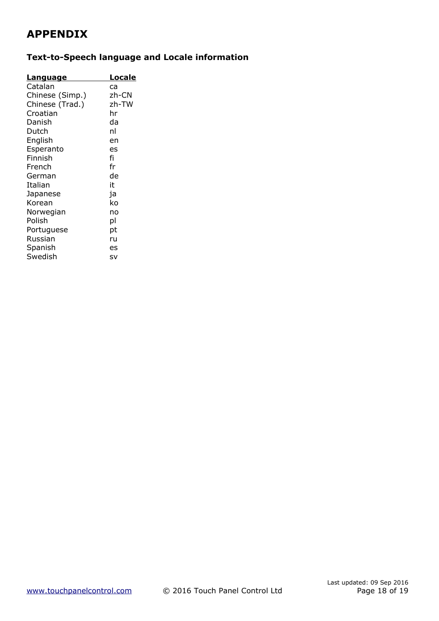# **APPENDIX**

## **Text-to-Speech language and Locale information**

| <u>Language</u> | Locale |
|-----------------|--------|
| Catalan         | ca     |
| Chinese (Simp.) | zh-CN  |
| Chinese (Trad.) | zh-TW  |
| Croatian        | hr     |
| Danish          | da     |
| Dutch           | nl     |
| English         | en     |
| Esperanto       | es     |
| Finnish         | fi     |
| French          | fr     |
| German          | de     |
| Italian         | it     |
| Japanese        | ja     |
| Korean          | ko     |
| Norwegian       | no     |
| Polish          | рI     |
| Portuguese      | рt     |
| Russian         | ru     |
| Spanish         | es     |
| Swedish         | sv     |